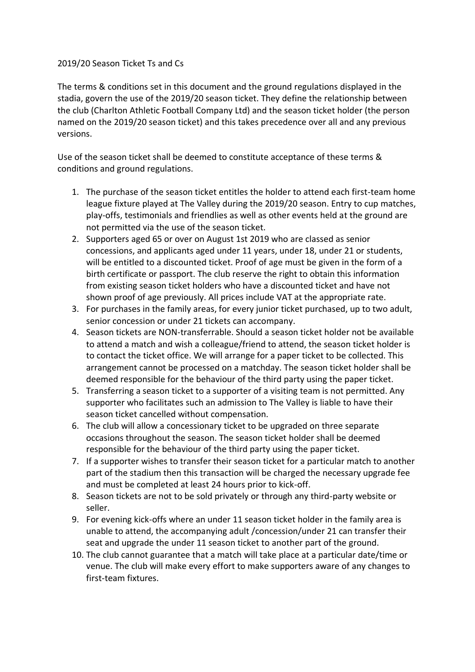## 2019/20 Season Ticket Ts and Cs

The terms & conditions set in this document and the ground regulations displayed in the stadia, govern the use of the 2019/20 season ticket. They define the relationship between the club (Charlton Athletic Football Company Ltd) and the season ticket holder (the person named on the 2019/20 season ticket) and this takes precedence over all and any previous versions.

Use of the season ticket shall be deemed to constitute acceptance of these terms & conditions and ground regulations.

- 1. The purchase of the season ticket entitles the holder to attend each first-team home league fixture played at The Valley during the 2019/20 season. Entry to cup matches, play-offs, testimonials and friendlies as well as other events held at the ground are not permitted via the use of the season ticket.
- 2. Supporters aged 65 or over on August 1st 2019 who are classed as senior concessions, and applicants aged under 11 years, under 18, under 21 or students, will be entitled to a discounted ticket. Proof of age must be given in the form of a birth certificate or passport. The club reserve the right to obtain this information from existing season ticket holders who have a discounted ticket and have not shown proof of age previously. All prices include VAT at the appropriate rate.
- 3. For purchases in the family areas, for every junior ticket purchased, up to two adult, senior concession or under 21 tickets can accompany.
- 4. Season tickets are NON-transferrable. Should a season ticket holder not be available to attend a match and wish a colleague/friend to attend, the season ticket holder is to contact the ticket office. We will arrange for a paper ticket to be collected. This arrangement cannot be processed on a matchday. The season ticket holder shall be deemed responsible for the behaviour of the third party using the paper ticket.
- 5. Transferring a season ticket to a supporter of a visiting team is not permitted. Any supporter who facilitates such an admission to The Valley is liable to have their season ticket cancelled without compensation.
- 6. The club will allow a concessionary ticket to be upgraded on three separate occasions throughout the season. The season ticket holder shall be deemed responsible for the behaviour of the third party using the paper ticket.
- 7. If a supporter wishes to transfer their season ticket for a particular match to another part of the stadium then this transaction will be charged the necessary upgrade fee and must be completed at least 24 hours prior to kick-off.
- 8. Season tickets are not to be sold privately or through any third-party website or seller.
- 9. For evening kick-offs where an under 11 season ticket holder in the family area is unable to attend, the accompanying adult /concession/under 21 can transfer their seat and upgrade the under 11 season ticket to another part of the ground.
- 10. The club cannot guarantee that a match will take place at a particular date/time or venue. The club will make every effort to make supporters aware of any changes to first-team fixtures.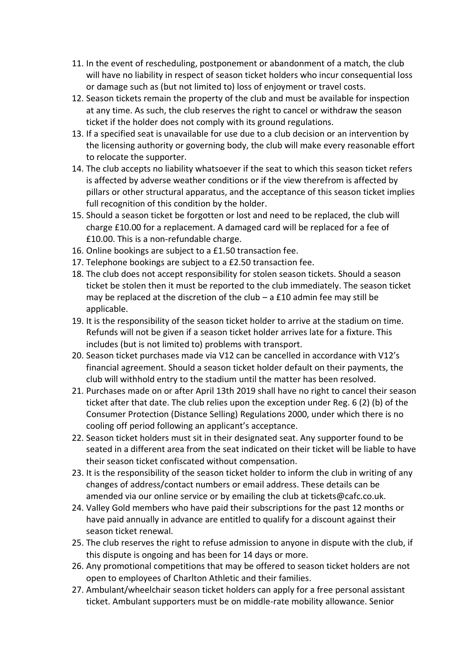- 11. In the event of rescheduling, postponement or abandonment of a match, the club will have no liability in respect of season ticket holders who incur consequential loss or damage such as (but not limited to) loss of enjoyment or travel costs.
- 12. Season tickets remain the property of the club and must be available for inspection at any time. As such, the club reserves the right to cancel or withdraw the season ticket if the holder does not comply with its ground regulations.
- 13. If a specified seat is unavailable for use due to a club decision or an intervention by the licensing authority or governing body, the club will make every reasonable effort to relocate the supporter.
- 14. The club accepts no liability whatsoever if the seat to which this season ticket refers is affected by adverse weather conditions or if the view therefrom is affected by pillars or other structural apparatus, and the acceptance of this season ticket implies full recognition of this condition by the holder.
- 15. Should a season ticket be forgotten or lost and need to be replaced, the club will charge £10.00 for a replacement. A damaged card will be replaced for a fee of £10.00. This is a non-refundable charge.
- 16. Online bookings are subject to a £1.50 transaction fee.
- 17. Telephone bookings are subject to a £2.50 transaction fee.
- 18. The club does not accept responsibility for stolen season tickets. Should a season ticket be stolen then it must be reported to the club immediately. The season ticket may be replaced at the discretion of the club  $-$  a £10 admin fee may still be applicable.
- 19. It is the responsibility of the season ticket holder to arrive at the stadium on time. Refunds will not be given if a season ticket holder arrives late for a fixture. This includes (but is not limited to) problems with transport.
- 20. Season ticket purchases made via V12 can be cancelled in accordance with V12's financial agreement. Should a season ticket holder default on their payments, the club will withhold entry to the stadium until the matter has been resolved.
- 21. Purchases made on or after April 13th 2019 shall have no right to cancel their season ticket after that date. The club relies upon the exception under Reg. 6 (2) (b) of the Consumer Protection (Distance Selling) Regulations 2000, under which there is no cooling off period following an applicant's acceptance.
- 22. Season ticket holders must sit in their designated seat. Any supporter found to be seated in a different area from the seat indicated on their ticket will be liable to have their season ticket confiscated without compensation.
- 23. It is the responsibility of the season ticket holder to inform the club in writing of any changes of address/contact numbers or email address. These details can be amended via our online service or by emailing the club at tickets@cafc.co.uk.
- 24. Valley Gold members who have paid their subscriptions for the past 12 months or have paid annually in advance are entitled to qualify for a discount against their season ticket renewal.
- 25. The club reserves the right to refuse admission to anyone in dispute with the club, if this dispute is ongoing and has been for 14 days or more.
- 26. Any promotional competitions that may be offered to season ticket holders are not open to employees of Charlton Athletic and their families.
- 27. Ambulant/wheelchair season ticket holders can apply for a free personal assistant ticket. Ambulant supporters must be on middle-rate mobility allowance. Senior